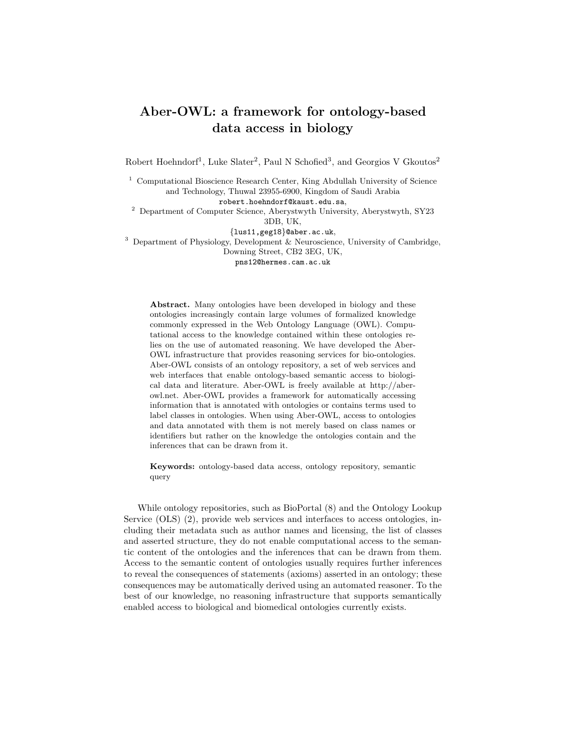## Aber-OWL: a framework for ontology-based data access in biology

Robert Hoehndorf<sup>1</sup>, Luke Slater<sup>2</sup>, Paul N Schofied<sup>3</sup>, and Georgios V Gkoutos<sup>2</sup>

<sup>1</sup> Computational Bioscience Research Center, King Abdullah University of Science and Technology, Thuwal 23955-6900, Kingdom of Saudi Arabia robert.hoehndorf@kaust.edu.sa,

<sup>2</sup> Department of Computer Science, Aberystwyth University, Aberystwyth, SY23 3DB, UK,

{lus11,geg18}@aber.ac.uk,

<sup>3</sup> Department of Physiology, Development & Neuroscience, University of Cambridge, Downing Street, CB2 3EG, UK,

pns12@hermes.cam.ac.uk

Abstract. Many ontologies have been developed in biology and these ontologies increasingly contain large volumes of formalized knowledge commonly expressed in the Web Ontology Language (OWL). Computational access to the knowledge contained within these ontologies relies on the use of automated reasoning. We have developed the Aber-OWL infrastructure that provides reasoning services for bio-ontologies. Aber-OWL consists of an ontology repository, a set of web services and web interfaces that enable ontology-based semantic access to biological data and literature. Aber-OWL is freely available at http://aberowl.net. Aber-OWL provides a framework for automatically accessing information that is annotated with ontologies or contains terms used to label classes in ontologies. When using Aber-OWL, access to ontologies and data annotated with them is not merely based on class names or identifiers but rather on the knowledge the ontologies contain and the inferences that can be drawn from it.

Keywords: ontology-based data access, ontology repository, semantic query

While ontology repositories, such as BioPortal (8) and the Ontology Lookup Service (OLS) (2), provide web services and interfaces to access ontologies, including their metadata such as author names and licensing, the list of classes and asserted structure, they do not enable computational access to the semantic content of the ontologies and the inferences that can be drawn from them. Access to the semantic content of ontologies usually requires further inferences to reveal the consequences of statements (axioms) asserted in an ontology; these consequences may be automatically derived using an automated reasoner. To the best of our knowledge, no reasoning infrastructure that supports semantically enabled access to biological and biomedical ontologies currently exists.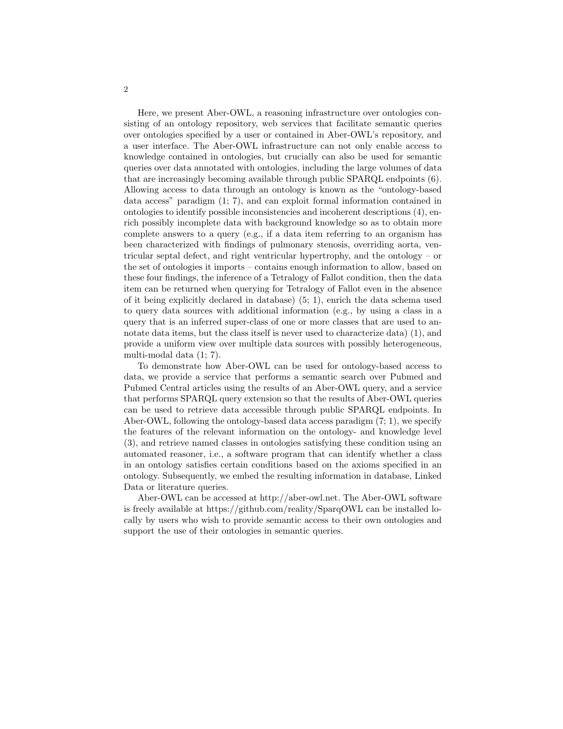Here, we present Aber-OWL, a reasoning infrastructure over ontologies consisting of an ontology repository, web services that facilitate semantic queries over ontologies specified by a user or contained in Aber-OWL's repository, and a user interface. The Aber-OWL infrastructure can not only enable access to knowledge contained in ontologies, but crucially can also be used for semantic queries over data annotated with ontologies, including the large volumes of data that are increasingly becoming available through public SPARQL endpoints (6). Allowing access to data through an ontology is known as the "ontology-based data access" paradigm (1; 7), and can exploit formal information contained in ontologies to identify possible inconsistencies and incoherent descriptions (4), enrich possibly incomplete data with background knowledge so as to obtain more complete answers to a query (e.g., if a data item referring to an organism has been characterized with findings of pulmonary stenosis, overriding aorta, ventricular septal defect, and right ventricular hypertrophy, and the ontology – or the set of ontologies it imports – contains enough information to allow, based on these four findings, the inference of a Tetralogy of Fallot condition, then the data item can be returned when querying for Tetralogy of Fallot even in the absence of it being explicitly declared in database) (5; 1), enrich the data schema used to query data sources with additional information (e.g., by using a class in a query that is an inferred super-class of one or more classes that are used to annotate data items, but the class itself is never used to characterize data) (1), and provide a uniform view over multiple data sources with possibly heterogeneous, multi-modal data (1; 7).

To demonstrate how Aber-OWL can be used for ontology-based access to data, we provide a service that performs a semantic search over Pubmed and Pubmed Central articles using the results of an Aber-OWL query, and a service that performs SPARQL query extension so that the results of Aber-OWL queries can be used to retrieve data accessible through public SPARQL endpoints. In Aber-OWL, following the ontology-based data access paradigm (7; 1), we specify the features of the relevant information on the ontology- and knowledge level (3), and retrieve named classes in ontologies satisfying these condition using an automated reasoner, i.e., a software program that can identify whether a class in an ontology satisfies certain conditions based on the axioms specified in an ontology. Subsequently, we embed the resulting information in database, Linked Data or literature queries.

Aber-OWL can be accessed at http://aber-owl.net. The Aber-OWL software is freely available at https://github.com/reality/SparqOWL can be installed locally by users who wish to provide semantic access to their own ontologies and support the use of their ontologies in semantic queries.